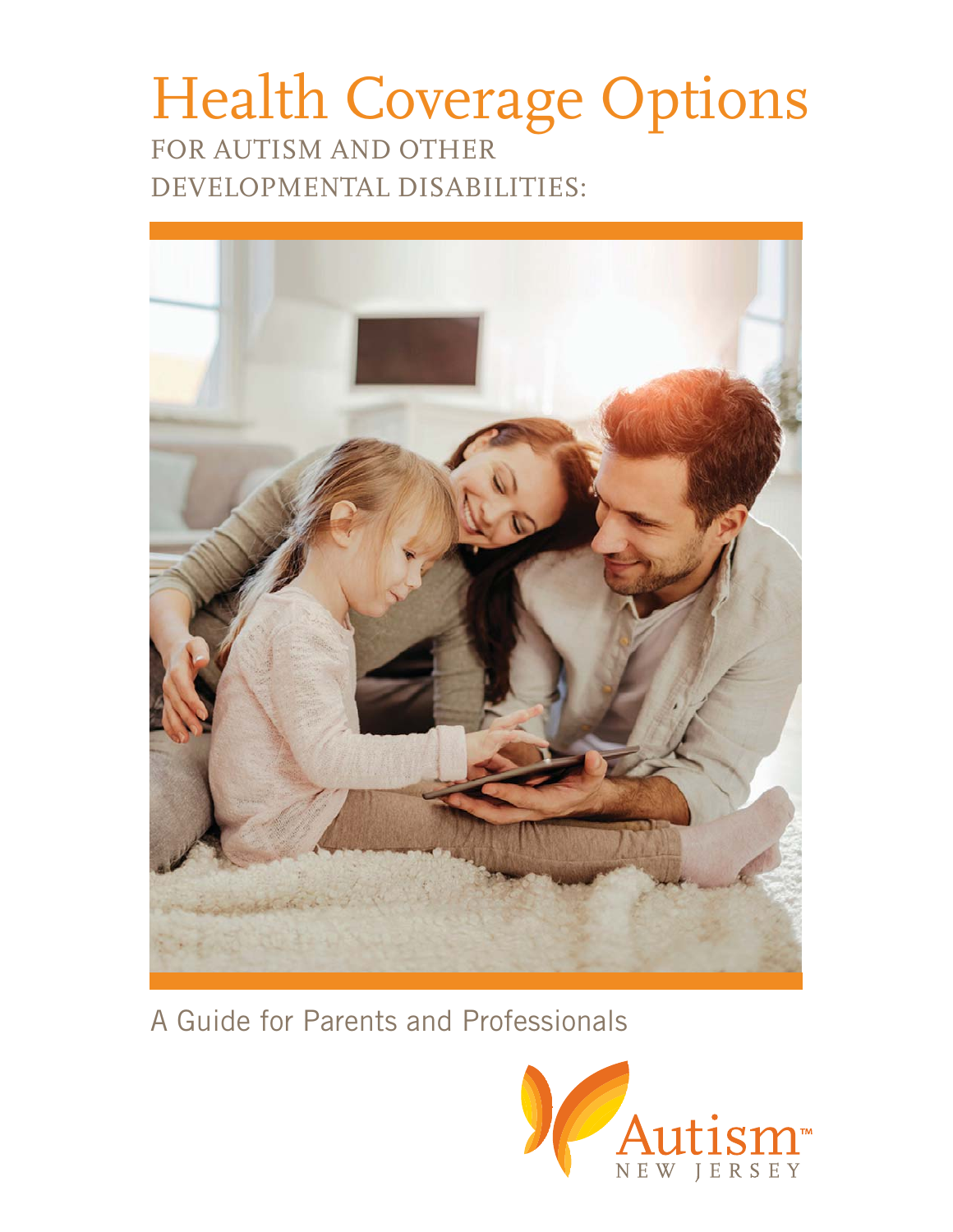#### FOR AUTISM AND OTHER DEVELOPMENTAL DISABILITIES: Health Coverage Options



A Guide for Parents and Professionals

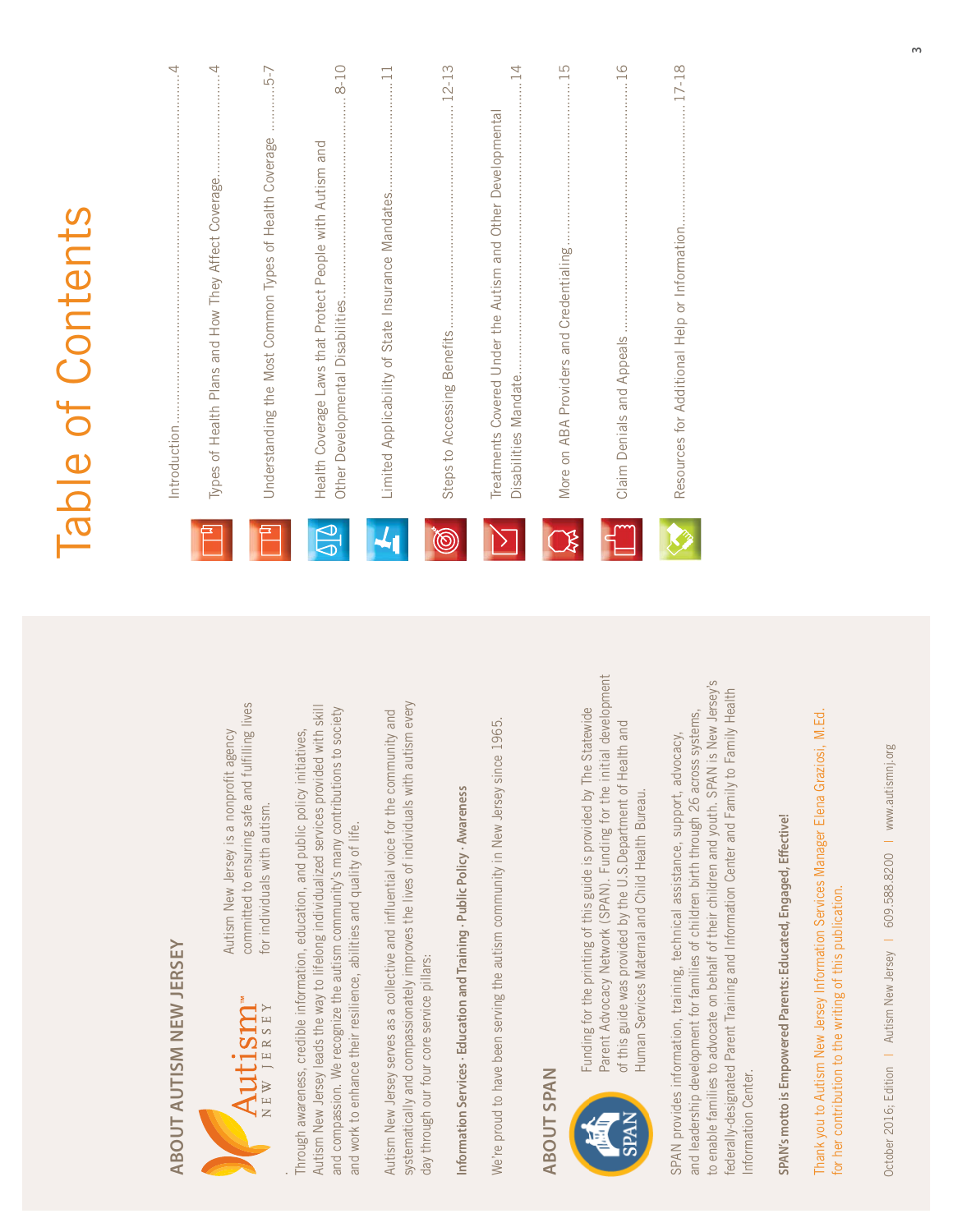|                                                                                                                                                        |             | Table of Contents                                                                                      |
|--------------------------------------------------------------------------------------------------------------------------------------------------------|-------------|--------------------------------------------------------------------------------------------------------|
|                                                                                                                                                        |             | $\cdots \cdots \cdots 4$                                                                               |
|                                                                                                                                                        |             | $\cdots \cdots 4$<br>Types of Health Plans and How They Affect Coverage                                |
| to ensuring safe and fulfilling lives<br>w Jersey is a nonprofit agency<br>uals with autism.                                                           |             | 5-7<br>Understanding the Most Common Types of Health Coverage                                          |
| n, and public policy initiatives,<br>lualized services provided with skill<br>iity's many contributions to society<br>quality of life.                 | $\bigoplus$ | $8 - 10$<br>Health Coverage Laws that Protect People with Autism and                                   |
| every<br>and<br>ential voice for the community<br>ves of individuals with autism                                                                       |             |                                                                                                        |
| ic Policy · Awareness                                                                                                                                  | (©          | $.12 - 13$<br>Steps to Accessing Benefits.                                                             |
| nunity in New Jersey since 1965.                                                                                                                       |             | $\overline{4}$<br>Treatments Covered Under the Autism and Other Developmental<br>Disabilities Mandate. |
|                                                                                                                                                        | B           |                                                                                                        |
| N). Funding for the initial development<br>guide is provided by The Statewide<br>e U.S.Department of Health and<br>hild Health Bureau.                 |             | 16                                                                                                     |
| ildren and youth. SPAN is New Jersey's<br>on Center and Family to Family Health<br>h birth through 26 across systems,<br>ssistance, support, advocacy, |             |                                                                                                        |
|                                                                                                                                                        |             |                                                                                                        |

ABOUT AUTISM NEW JERSEY **ABOUT AUTISM NEW JERSEY**



committed to ensuring safe and fulfilling lives Autism New Jersey is a nonprofit agency for individuals with autism. Autism Ne for individ committed

Autism New Jersey leads the way to lifelong individualized services provided with skill and compassion. We recognize the autism community's many contributions to society Through awareness, credible information, education, and public policy initiatives, and work to enhance their resilience, abilities and quality of life. Through awareness, credible information, educatio Autism New Jersey leads the way to lifelong indivic and compassion. We recognize the autism commun and work to enhance their resilience, abilities and

systematically and compassionately improves the lives of individuals with autism every Autism New Jersey serves as a collective and influential voice for the community and Autism New Jersey serves as a collective and influe systematically and compassionately improves the I day through our four core service pillars: day through our four core service pillars:

**Information Services · Education and Training · Public Policy · Awareness** Information Services - Education and Training - Publ

We're proud to have been serving the autism community in New Jersey since 1965. We're proud to have been serving the autism comn

### **ABOUT SPAN ABOUT SPAN**



Parent Advocacy Network (SPAN). Funding for the initial development Funding for the printing of this guide is provided by The Statewide of this guide was provided by the U.S.Department of Health and Human Services Maternal and Child Health Bureau. of this guide was provided by the Human Services Maternal and C Funding for the printing of this Parent Advocacy Network (SPA

to enable families to advocate on behalf of their children and youth. SPAN is New Jersey's federally-designated Parent Training and Information Center and Family to Family Health and leadership development for families of children birth through 26 across systems, SPAN provides information, training, technical assistance, support, advocacy, SPAN provides information, training, technical as and leadership development for families of children to enable families to advocate on behalf of their ch ederally-designated Parent Training and Information Information Center. Information Center.

SPAN's motto is Empowered Parents: Educated, Engaged, Effective! **SPAN's motto is Empowered Parents: Educated, Engaged, Effective!**

Thank you to Autism New Jersey Information Services Manager Elena Graziosi, M.Ed. Thank you to Autism New Jersey Information Services Manager Elena Graziosi, M.Ed. for her contribution to the writing of this publication. for her contribution to the writing of this publication.

October 2016; Edition | Autism New Jersey | 609.588.8200 | www.autismnj.org October 2016; Edition | Autism New Jersey | 609.588.8200 | www.autismnj.org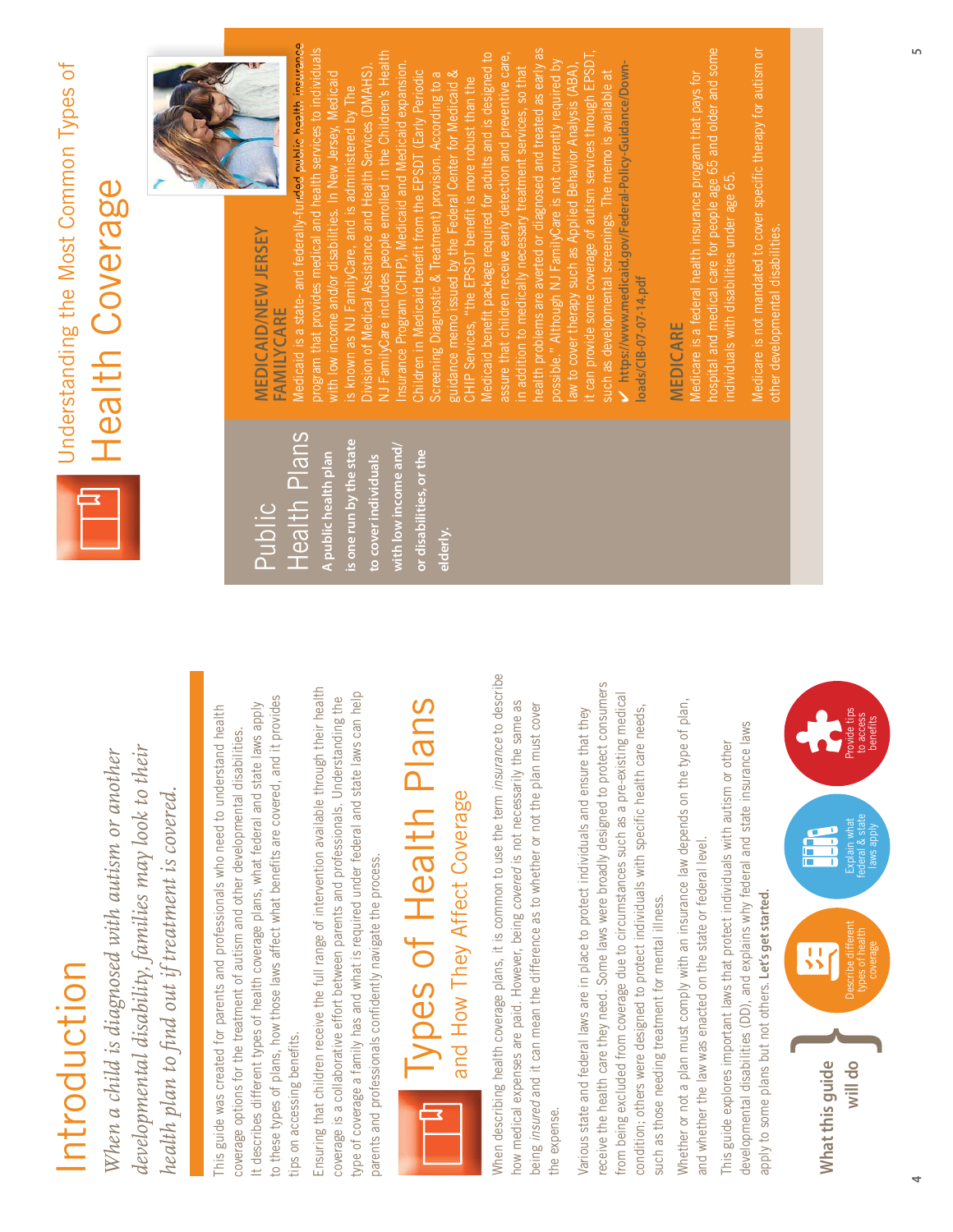# Introduction Introduction

*developmental disability, families may look to their*  developmental disability, families may look to their *When a child is diagnosed with autism or another*  When a child is diagnosed with autism or another *health plan to find out if treatment is covered.*  health plan to find out if treatment is covered.

to these types of plans, how those laws affect what benefits are covered, and it provides to these types of plans, how those laws affect what benefits are covered, and it provides It describes different types of health coverage plans, what federal and state laws apply This guide was created for parents and professionals who need to understand health This guide was created for parents and professionals who need to understand health t describes different types of health coverage plans, what federal and state laws apply coverage options for the treatment of autism and other developmental disabilities. coverage options for the treatment of autism and other developmental disabilities. ips on accessing benefits. tips on accessing benefits.

Ensuring that children receive the full range of intervention available through their health Ensuring that children receive the full range of intervention available through their health type of coverage a family has and what is required under federal and state laws can help type of coverage a family has and what is required under federal and state laws can help coverage is a collaborative effort between parents and professionals. Understanding the coverage is a collaborative effort between parents and professionals. Understanding the parents and professionals confidently navigate the process. parents and professionals confidently navigate the process

# Types of Health Plans Types of Health Plans and How They Affect Coverage and How They Affect Coverage

**elderly.** 

When describing health coverage plans, it is common to use the term insurance to describe When describing health coverage plans, it is common to use the term *insurance* to describe how medical expenses are paid. However, being *covered* is not necessarily the same as now medical expenses are paid. However, being covered is not necessarily the same as being *insured* and it can mean the difference as to whether or not the plan must cover being insured and it can mean the difference as to whether or not the plan must cover the expense. the expense.

receive the health care they need. Some laws were broadly designed to protect consumers eceive the health care they need. Some laws were broadly designed to protect consumers from being excluded from coverage due to circumstances such as a pre-existing medical from being excluded from coverage due to circumstances such as a pre-existing medical condition; others were designed to protect individuals with specific health care needs, Various state and federal laws are in place to protect individuals and ensure that they Various state and federal laws are in place to protect individuals and ensure that they condition; others were designed to protect individuals with specific health care needs, such as those needing treatment for mental illness. such as those needing treatment for mental illness.

Whether or not a plan must comply with an insurance law depends on the type of plan, Whether or not a plan must comply with an insurance law depends on the type of plan. and whether the law was enacted on the state or federal level. and whether the law was enacted on the state or federal level.

developmental disabilities (DD), and explains why federal and state insurance laws developmental disabilities (DD), and explains why federal and state insurance laws This guide explores important laws that protect individuals with autism or other This guide explores important laws that protect individuals with autism or other apply to some plans but not others. **Let's get started.**  apply to some plans but not others. Let's get started.





# Understanding the Most Common Types of Understanding the Most Common Types of Health Coverage Health Coverage

### **MEDICAID/NEW JERSEY MEDICAID/NEW JERSEY FAMILYCARE** FAMILYCARE

Public

Health Plans

Health Plans

**A public health plan is one run by the state to cover individuals with low income and/ or disabilities, or the** 

A public health plan

is one run by the state

with low income and/ or disabilities, or the

to cover individuals



Medicaid is a state- and federally-funded public health insurance program that provides medical and health services to individuals health problems are averted or diagnosed and treated as early as NJ FamilyCare includes people enrolled in the Children's Health assure that children receive early detection and preventive care, it can provide some coverage of autism services through EPSDT, Medicaid benefit package required for adults and is designed to health problems are averted or diagnosed and treated as early as rogram that provides medical and health services to individuals Medicaid benefit package required for adults and is designed to assure that children receive early detection and preventive care, VJ FamilyCare includes people enrolled in the Children's Health possible." Although NJ FamilyCare is not currently required by Insurance Program (CHIP), Medicaid and Medicaid expansion. t can provide some coverage of autism services through EPSD Division of Medical Assistance and Health Services (DMAHS). law to cover therapy such as Applied Behavior Analysis (ABA), oossible." Although NJ FamilyCare is not currently required by **https://www.medicaid.gov/Federal-Policy-Guidance/Down**nsurance Program (CHIP). Medicaid and Medicaid expansion in addition to medically necessary treatment services, so that Intrps://www.medicaid.gov/Federal-Policy-Guidance/Downwith low income and/or disabilities. In New Jersey, Medicaid Division of Medical Assistance and Health Services (DMAHS) Children in Medicaid benefit from the EPSDT (Early Periodic guidance memo issued by the Federal Center for Medicaid & Screening Diagnostic & Treatment) provision. According to a Screening Diagnostic & Treatment) provision. According to a suidance memo issued by the Federal Center for Medicaid & n addition to medically necessary treatment services, so that such as developmental screenings. The memo is available at Children in Medicaid benefit from the EPSDT (Early Periodic aw to cover therapy such as Applied Behavior Analysis (ABA such as developmental screenings. The memo is available at vith low income and/or disabilities. In New Jersey, Medicaid CHIP Services, "the EPSDT benefit is more robust than the is known as NJ FamilyCare, and is administered by The than the s known as NJ FamilyCare, and is administered by The HIP Services, "the EPSDT benefit is more robust loads/CIB-07-07-14.pdf **loads/CIB-07-07-14.pdf**

### MEDICARE **MEDICARE**

hospital and medical care for people age 65 and older and some hospital and medical care for people age 65 and older and some Medicare is a federal health insurance program that pays for Medicare is a federal health insurance program that pays for individuals with disabilities under age 65 individuals with disabilities under age 65.

Medicare is not mandated to cover specific therapy for autism or Medicare is not mandated to cover specific therapy for autism or other developmental disabilities. other developmental disabilities.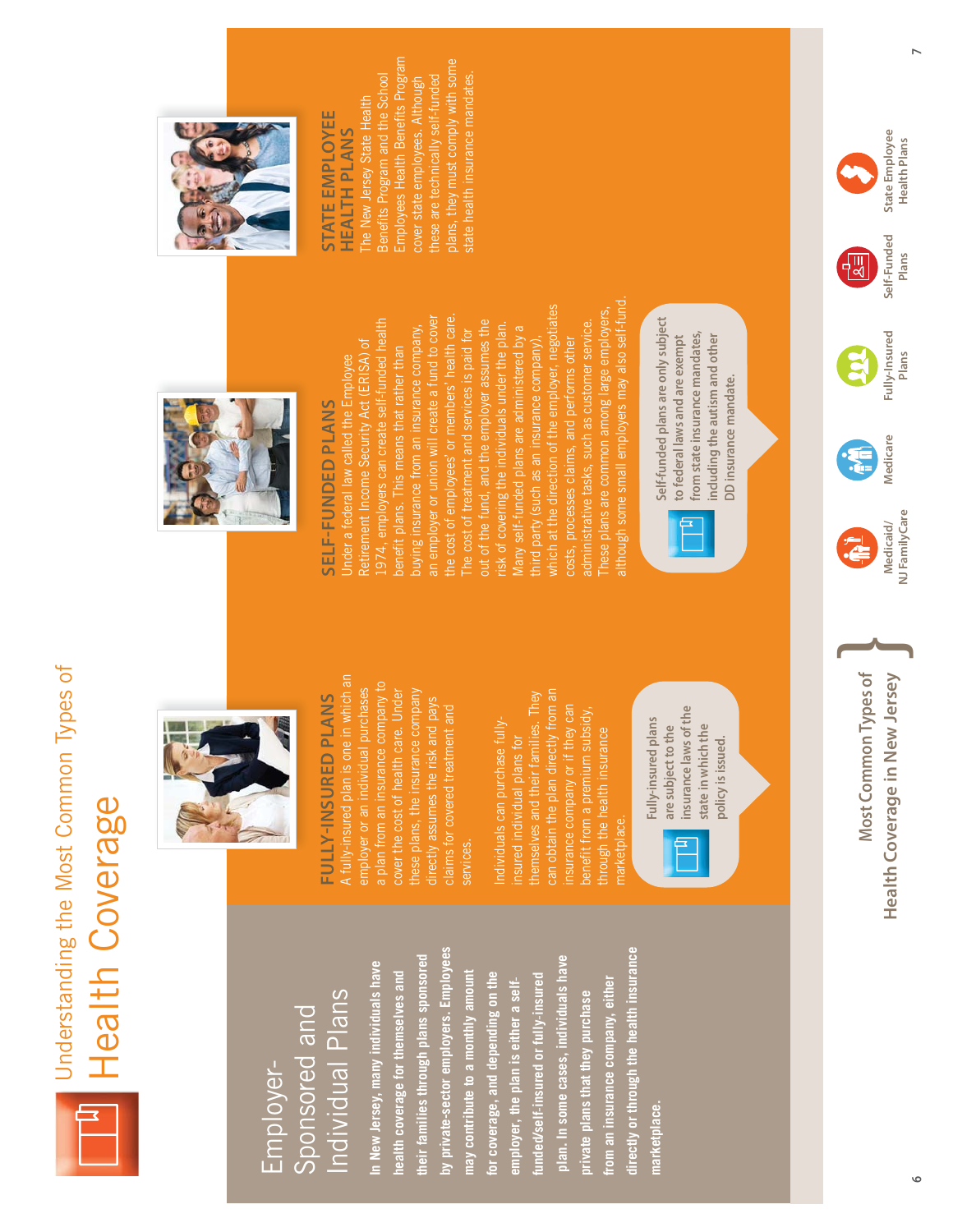

#### Individual Plans Individual Plans Sponsored and Sponsored and Employer-

**by private-sector employers. Employees directly or through the health insurance**  by private-sector employers. Employees lirectly or through the health insurance **their families through plans sponsored plan. In some cases, individuals have**  their families through plans sponsored plan. In some cases, individuals have **In New Jersey, many individuals have**  n New Jersey, many individuals have **health coverage for themselves and may contribute to a monthly amount for coverage, and depending on the**  realth coverage for themselves and may contribute to a monthly amount for coverage, and depending on the from an insurance company, either **from an insurance company, either**  employer, the plan is either a self**funded/selfinsured or fullyinsured** unded/self-insured or fully-insured **employer, the plan is either a self** private plans that they purchase **private plans that they purchase marketplace.** marketplace.



## FULLY-INSURED PLANS **FULLYINSURED PLANS**

A fully-insured plan is one in which an A fully-insured plan is one in which an a plan from an insurance company to plan from an insurance company to employer or an individual purchases cover the cost of health care. Under these plans, the insurance company employer or an individual purchases over the cost of health care. Under nese plans, the insurance company directly assumes the risk and pays irectly assumes the risk and pays claims for covered treatment and services.

can obtain the plan directly from an themselves and their families. They an obtain the plan directly from an remselves and their families. They insurance company or if they can benefit from a premium subsidy, enefit from a premium subsidy, Individuals can purchase fully ndividuals can purchase fullythrough the health insurance prough the health insurance insured individual plans for nsured individual plans for marketplace. narketplace.

insurance laws of the **insurance laws of the**  Fully-insured plans **Fully-insured plans**  state in which the **state in which the**  are subject to the **are subject to the**  policy is issued. **policy is issued.**



## SELF-FUNDED PLANS **SELFFUNDED PLANS**

although some small employers may also self-fund. although some small employers may also self-fund which at the direction of the employer, negotiates These plans are common among large employers, which at the direction of the employer, negotiates These plans are common among large employers, the cost of employees' or members' health care. an employer or union will create a fund to cover 1974, employers can create self-funded health out of the fund, and the employer assumes the administrative tasks, such as customer service. an employer or union will create a fund to cover he cost of employees' or members' health care out of the fund, and the employer assumes the risk of covering the individuals under the plan. 974, employers can create self-funded health administrative tasks, such as customer service. buying insurance from an insurance company, Many self-funded plans are administered by a buying insurance from an insurance company, The cost of treatment and services is paid for The cost of treatment and services is paid for isk of covering the individuals under the plan Many self-funded plans are administered by a third party (such as an insurance company), costs, processes claims, and performs other costs, processes claims, and performs other Retirement Income Security Act (ERISA) of hird party (such as an insurance company) Retirement Income Security Act (ERISA) of benefit plans. This means that rather than benefit plans. This means that rather than Under a federal law called the Employee Jnder a federal law called the Employee



Self-funded plans are only subject **Self-funded plans are only subject from state insurance mandates,**  from state insurance mandates, including the autism and other **including the autism and other**  to federal laws and are exempt **to federal laws and are exempt**  DD insurance mandate. **DD insurance mandate.** 



#### **STATE EMPLOYEE STATE EMPLOYEE HEALTH PLANS HEALTH PLANS**

Employees Health Benefits Program Employees Health Benefits Program plans, they must comply with some plans, they must comply with some state health insurance mandates. Benefits Program and the School these are technically self-funded cover state employees. Although hese are technically self-funded Benefits Program and the School cover state employees. Although The New Jersey State Health The New Jersey State Health



Most Common Types of Health Coverage in New Jersey **Most Common Types of**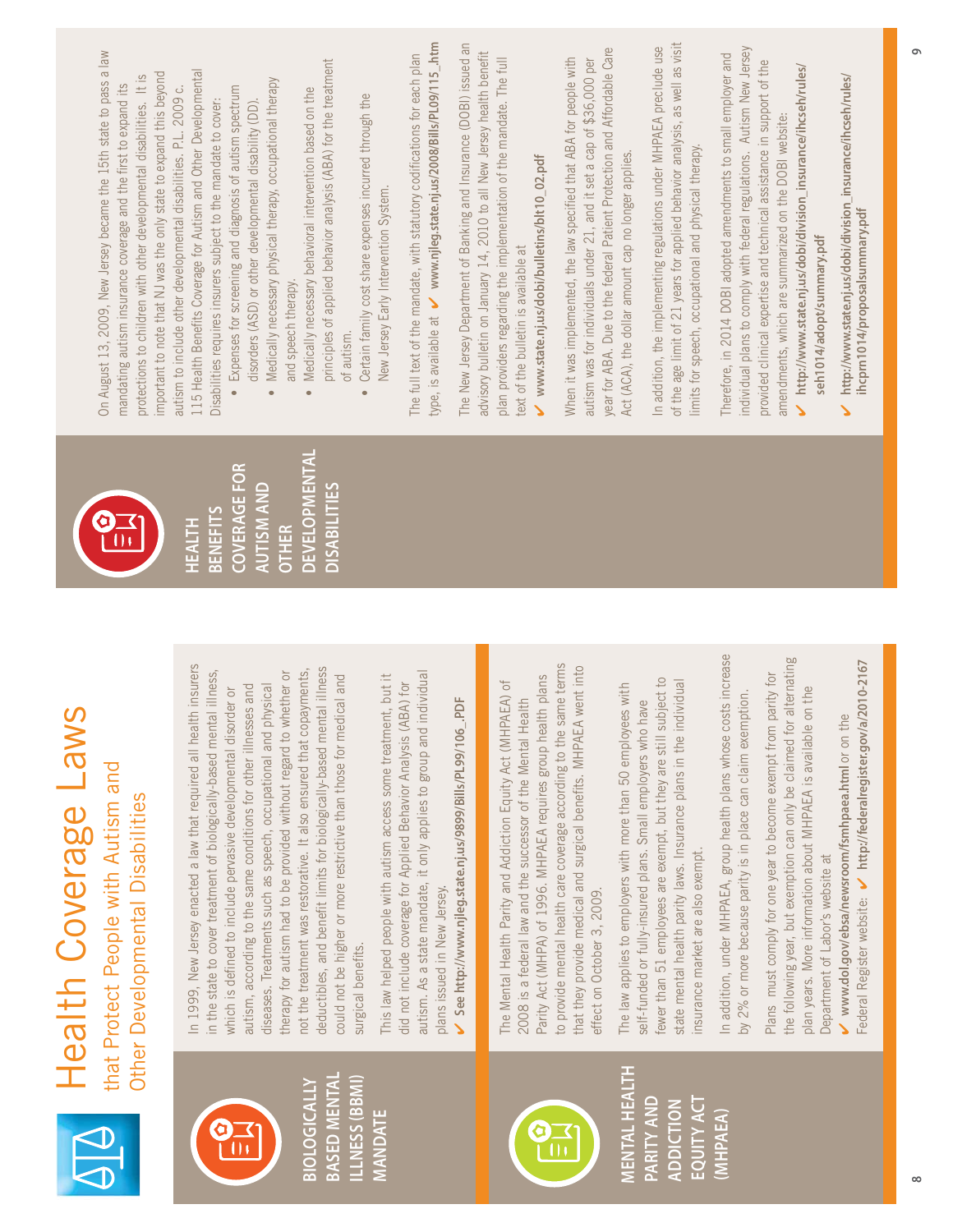| On August 13, 2009, New Jersey became the 15th state to pass a law<br>important to note that NJ was the only state to expand this beyond<br>protections to children with other developmental disabilities. It is<br>mandating autism insurance coverage and the first to expand its | principles of applied behavior analysis (ABA) for the treatment<br>115 Health Benefits Coverage for Autism and Other Developmental<br>Medically necessary physical therapy, occupational therapy<br>autism to include other developmental disabilities. P.L. 2009 c.<br>Expenses for screening and diagnosis of autism spectrum<br>Medically necessary behavioral intervention based on the<br>Certain family cost share expenses incurred through the<br>Disabilities requires insurers subject to the mandate to cover:<br>disorders (ASD) or other developmental disability (DD).<br>and speech therapy.<br>of autism.<br>$\bullet$<br>$\bullet$                           | type, is available at v www.njleg.state.nj.us/2008/Bills/PL09/115_.htm<br>The New Jersey Department of Banking and Insurance (DOBI) issued an<br>advisory bulletin on January 14, 2010 to all New Jersey health benefit<br>The full text of the mandate, with statutory codifications for each plan<br>New Jersey Early Intervention System. | When it was implemented, the law specified that ABA for people with<br>plan providers regarding the implementation of the mandate. The full<br>www.state.nj.us/dobi/bulletins/blt10_02.pdf<br>text of the bulletin is available at                                                                                                        | of the age limit of 21 years for applied behavior analysis, as well as visit<br>In addition, the implementing regulations under MHPAEA preclude use<br>year for ABA. Due to the federal Patient Protection and Affordable Care<br>autism was for individuals under 21, and it set a cap of \$36,000 per<br>Act (ACA), the dollar amount cap no longer applies. | individual plans to comply with federal regulations. Autism New Jersey<br>Therefore, in 2014 DOBI adopted amendments to small employer and<br>provided clinical expertise and technical assistance in support of the<br>limits for speech, occupational and physical therapy. | http://www.state.nj.us/dobi/division_insurance/ihcseh/rules/<br>http://www.state.nj.us/dobi/division_insurance/ihcseh/rules/<br>amendments, which are summarized on the DOBI website.<br>ihcprn1014/proposalsummary.pdf<br>seh1014/adopt/summary.pdf<br>$\mathbf{v}$<br>Š                                                                                                |
|-------------------------------------------------------------------------------------------------------------------------------------------------------------------------------------------------------------------------------------------------------------------------------------|-------------------------------------------------------------------------------------------------------------------------------------------------------------------------------------------------------------------------------------------------------------------------------------------------------------------------------------------------------------------------------------------------------------------------------------------------------------------------------------------------------------------------------------------------------------------------------------------------------------------------------------------------------------------------------|----------------------------------------------------------------------------------------------------------------------------------------------------------------------------------------------------------------------------------------------------------------------------------------------------------------------------------------------|-------------------------------------------------------------------------------------------------------------------------------------------------------------------------------------------------------------------------------------------------------------------------------------------------------------------------------------------|----------------------------------------------------------------------------------------------------------------------------------------------------------------------------------------------------------------------------------------------------------------------------------------------------------------------------------------------------------------|-------------------------------------------------------------------------------------------------------------------------------------------------------------------------------------------------------------------------------------------------------------------------------|--------------------------------------------------------------------------------------------------------------------------------------------------------------------------------------------------------------------------------------------------------------------------------------------------------------------------------------------------------------------------|
| $\mathbf{\dot{a}}$<br>U                                                                                                                                                                                                                                                             | <b>DEVELOPMENTAL</b><br><b>COVERAGE FOR</b><br><b>AUTISM AND</b><br><b>DISABILITIES</b><br><b>BENEFITS</b><br><b>HEALTH</b><br><b>OTHER</b>                                                                                                                                                                                                                                                                                                                                                                                                                                                                                                                                   |                                                                                                                                                                                                                                                                                                                                              |                                                                                                                                                                                                                                                                                                                                           |                                                                                                                                                                                                                                                                                                                                                                |                                                                                                                                                                                                                                                                               |                                                                                                                                                                                                                                                                                                                                                                          |
| Health Coverage Law<br>that Protect People with Autism and<br>Other Developmental Disabilities                                                                                                                                                                                      | In 1999, New Jersey enacted a law that required all health insurers<br>deductibles, and benefit limits for biologically-based mental illness<br>in the state to cover treatment of biologically-based mental illness,<br>not the treatment was restorative. It also ensured that copayments,<br>whether or<br>could not be higher or more restrictive than those for medical and<br>autism, according to the same conditions for other illnesses and<br>physical<br>which is defined to include pervasive developmental disorder or<br>diseases. Treatments such as speech, occupational and<br>therapy for autism had to be provided without regard to<br>surgical benefits. | autism. As a state mandate, it only applies to group and individual<br>This law helped people with autism access some treatment, but it<br>did not include coverage for Applied Behavior Analysis (ABA) for<br>HOL-<br>See http://www.njleg.state.nj.us/9899/Bills/PL99/106<br>plans issued in New Jersey                                    | to provide mental health care coverage according to the same terms<br>that they provide medical and surgical benefits. MHPAEA went into<br>Parity Act (MHPA) of 1996. MHPAEA requires group health plans<br>The Mental Health Parity and Addiction Equity Act (MHPAEA) of<br>2008 is a federal law and the successor of the Mental Health | fewer than 51 employees are exempt, but they are still subject to<br>state mental health parity laws. Insurance plans in the individual<br>The law applies to employers with more than 50 employees with<br>self-funded or fully-insured plans. Small employers who have<br>effect on October 3, 2009.                                                         | In addition, under MHPAEA, group health plans whose costs increase<br>by 2% or more because parity is in place can claim exemption.<br>insurance market are also exempt.                                                                                                      | the following year, but exemption can only be claimed for alternating<br>Federal Register website: V http://federalregister.gov/a/2010-2167<br>Plans must comply for one year to become exempt from parity for<br>plan years. More information about MHPAEA is available on the<br>www.dol.gov/ebsa/newsroom/fsmhpaea.html or on the<br>Department of Labor's website at |
|                                                                                                                                                                                                                                                                                     | BASED MENTAL<br>ILLNESS (BBMI)<br><b>BIOLOGICALLY</b>                                                                                                                                                                                                                                                                                                                                                                                                                                                                                                                                                                                                                         | <b>MANDATE</b>                                                                                                                                                                                                                                                                                                                               |                                                                                                                                                                                                                                                                                                                                           | <b>MENTAL HEALTH</b><br>PARITY AND<br>ADDICTION                                                                                                                                                                                                                                                                                                                | EQUITY ACT<br>(MHPAEA)                                                                                                                                                                                                                                                        |                                                                                                                                                                                                                                                                                                                                                                          |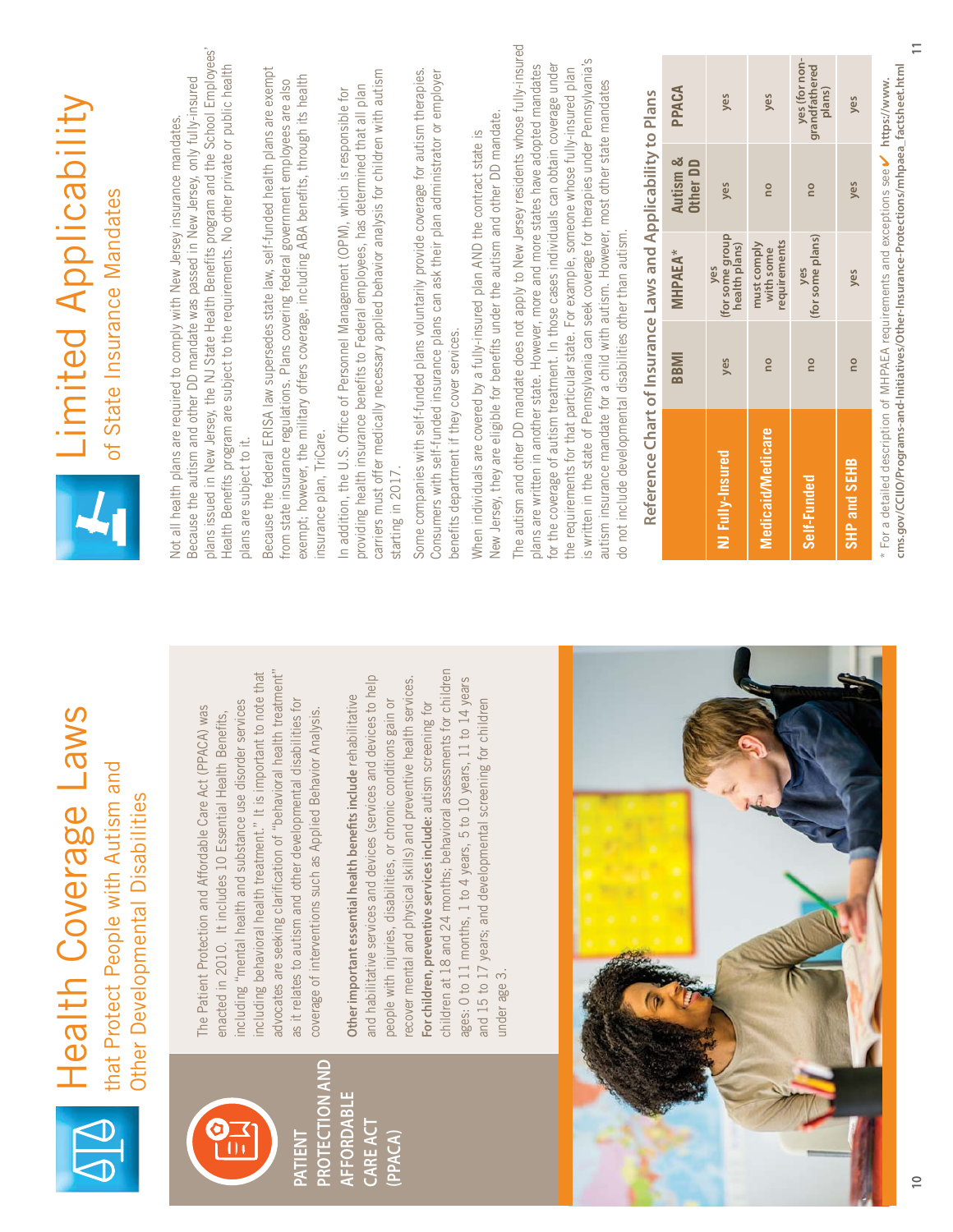|                       | Health Coverage Laws                                                                                                                                                                                                                                                             |                                                                                                                                                                                                                                                                                                                                                                                                 |                             |                                          | <b>Limited Applicability</b> |                                          |
|-----------------------|----------------------------------------------------------------------------------------------------------------------------------------------------------------------------------------------------------------------------------------------------------------------------------|-------------------------------------------------------------------------------------------------------------------------------------------------------------------------------------------------------------------------------------------------------------------------------------------------------------------------------------------------------------------------------------------------|-----------------------------|------------------------------------------|------------------------------|------------------------------------------|
|                       | that Protect People with Autism and<br>Other Developmental Disabilities                                                                                                                                                                                                          |                                                                                                                                                                                                                                                                                                                                                                                                 | of State Insurance Mandates |                                          |                              |                                          |
|                       | including "mental health and substance use disorder services<br>The Patient Protection and Affordable Care Act (PPACA) was<br>enacted in 2010. It includes 10 Essential Health Benefits,                                                                                         | plans issued in New Jersey, the NJ State Health Benefits program and the School Employees'<br>Health Benefits program are subject to the requirements. No other private or public health<br>Because the autism and other DD mandate was passed in New Jersey, only fully-insured<br>Not all health plans are required to comply with New Jersey insurance mandates.<br>plans are subject to it. |                             |                                          |                              |                                          |
| <b>PROTECTION AND</b> | advocates are seeking clarification of "behavioral health treatment"<br>including behavioral health treatment." It is important to note that<br>as it relates to autism and other developmental disabilities for<br>coverage of interventions such as Applied Behavior Analysis. | Because the federal ERISA law supersedes state law, self-funded health plans are exempt<br>exempt; however, the military offers coverage, including ABA benefits, through its health<br>from state insurance regulations. Plans covering federal government employees are also<br>insurance plan, TriCare.                                                                                      |                             |                                          |                              |                                          |
|                       | and habilitative services and devices (services and devices to help<br>Other important essential health benefits include rehabilitative<br>people with injuries, disabilities, or chronic conditions gain or                                                                     | carriers must offer medically necessary applied behavior analysis for children with autism<br>providing health insurance benefits to Federal employees, has determined that all plan<br>In addition, the U.S. Office of Personnel Management (OPM), which is responsible for<br>starting in 2017.                                                                                               |                             |                                          |                              |                                          |
|                       | children at 18 and 24 months; behavioral assessments for children<br>recover mental and physical skills) and preventive health services.<br>For children, preventive services include: autism screening for                                                                      | Some companies with self-funded plans voluntarily provide coverage for autism therapies.<br>Consumers with self-funded insurance plans can ask their plan administrator or employer<br>benefits department if they cover services.                                                                                                                                                              |                             |                                          |                              |                                          |
|                       | ages: 0 to 11 months, 1 to 4 years, 5 to 10 years, 11 to 14 years<br>and 15 to 17 years; and developmental screening for children<br>under age 3.                                                                                                                                | New Jersey, they are eligible for benefits under the autism and other DD mandate.<br>When individuals are covered by a fully-insured plan AND the contract state is                                                                                                                                                                                                                             |                             |                                          |                              |                                          |
|                       |                                                                                                                                                                                                                                                                                  | The autism and other DD mandate does not apply to New Jersey residents whose fully-insured<br>for the coverage of autism treatment. In those cases individuals can obtain coverage under<br>plans are written in another state. However, more and more states have adopted mandates                                                                                                             |                             |                                          |                              |                                          |
|                       |                                                                                                                                                                                                                                                                                  | is written in the state of Pennsylvania can seek coverage for therapies under Pennsylvania's<br>the requirements for that particular state. For example, someone whose fully-insured plan<br>autism insurance mandate for a child with autism. However, most other state mandates<br>do not include developmental disabilities other than autism.                                               |                             |                                          |                              |                                          |
|                       |                                                                                                                                                                                                                                                                                  | Reference Chart of Insurance Laws and Applicability to Plans                                                                                                                                                                                                                                                                                                                                    |                             |                                          |                              |                                          |
|                       |                                                                                                                                                                                                                                                                                  |                                                                                                                                                                                                                                                                                                                                                                                                 | BBMI                        | <b>MHPAEA</b> *                          | Autism &<br>Other DD         | PPACA                                    |
|                       |                                                                                                                                                                                                                                                                                  | NJ Fully-Insured                                                                                                                                                                                                                                                                                                                                                                                | yes                         | (for some group<br>health plans)<br>yes  | yes                          | yes                                      |
|                       |                                                                                                                                                                                                                                                                                  | Medicaid/Medicare                                                                                                                                                                                                                                                                                                                                                                               | <b>DO</b>                   | requirements<br>must comply<br>with some | <b>DO</b>                    | yes                                      |
|                       |                                                                                                                                                                                                                                                                                  | Self-Funded                                                                                                                                                                                                                                                                                                                                                                                     | <b>DU</b>                   | (for some plans)<br>ves                  | ou                           | yes (for non-<br>grandfathered<br>plans) |
|                       |                                                                                                                                                                                                                                                                                  | SHP and SEHB                                                                                                                                                                                                                                                                                                                                                                                    | ou                          | yes                                      | yes                          | yes                                      |

H.

**11**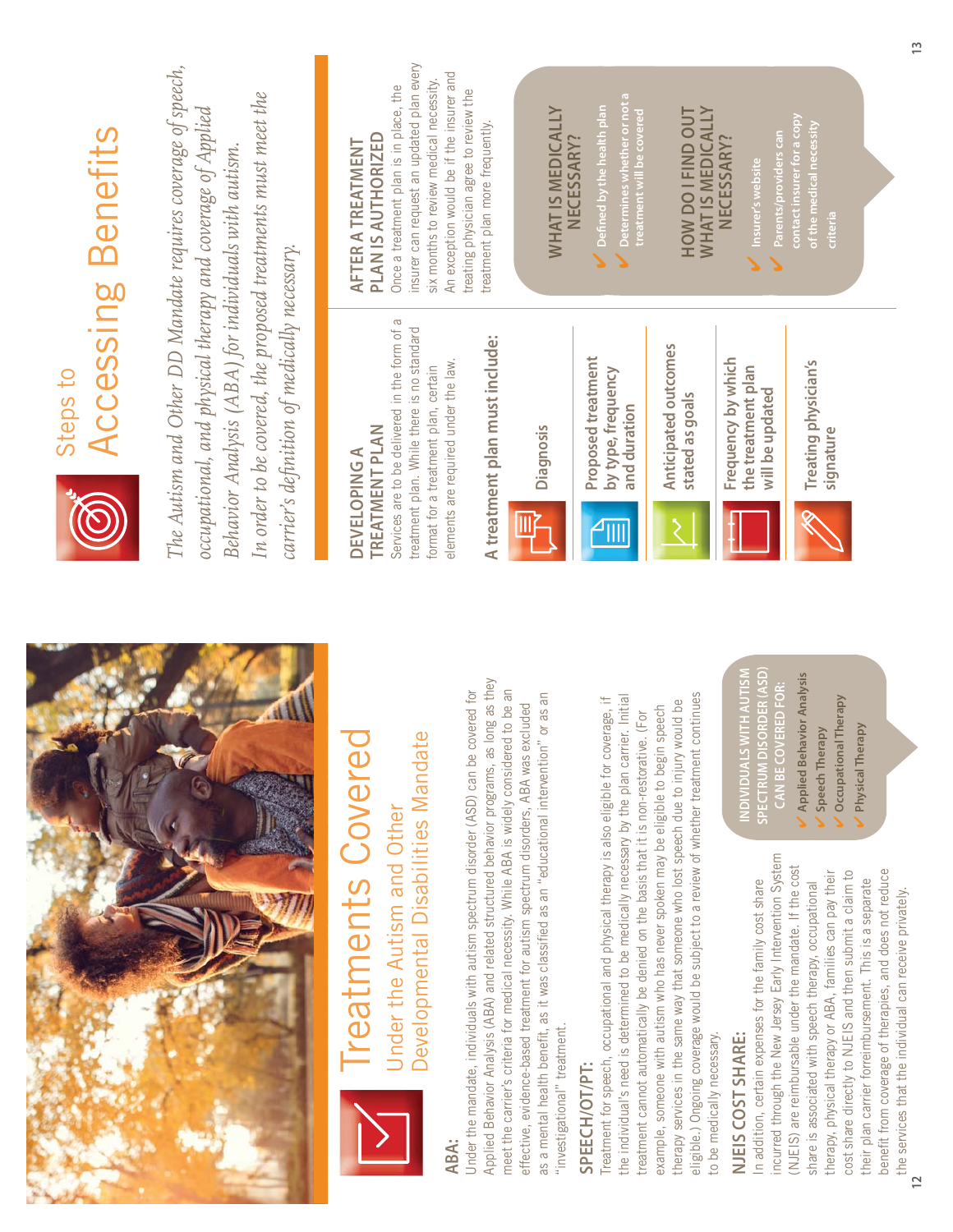| Accessing Benefits<br>Steps to | The Autism and Other DD Mandate requires coverage of speech,<br>In order to be covered, the proposed treatments must meet the<br>occupational, and physical therapy and coverage of Applied<br>Behavior Analysis (ABA) for individuals with autism.<br>carrier's definition of medically necessary. | insurer can request an updated plan every<br>six months to review medical necessity.<br>Once a treatment plan is in place, the<br>PLAN IS AUTHORIZED<br>AFTER A TREATMENT<br>Services are to be delivered in the form of a<br>treatment plan. While there is no standard<br>format for a treatment plan, certain<br><b>TREATMENT PLAN</b><br><b>DEVELOPING A</b> | An exception would be if the insurer and<br>treating physician agree to review the<br>treatment plan more frequently.<br>A treatment plan must include:<br>elements are required under the law.<br>as long as they                                                       | <b>WHAT IS MEDICALLY</b><br>Diagnosis                                                                                                                                                                             | Determines whether or not a<br>treatment will be covered<br>$\mathcal{O}$ Defined by the health plan<br>NECESSARY?<br>Proposed treatment<br>by type, frequency<br>and duration                                                                                                                     | <b>WHATIS MEDICALLY</b><br>HOW DO I FIND OUT<br>Anticipated outcomes<br>stated as goals                                                                                                                                                                                                           | NECESSARY<br>Insurer's website<br>Frequency by which<br>the treatment plan<br>will be updated<br>DISORDER (ASD)<br><b>IS WITH AUTISM</b><br><b>SPECTRUM I</b><br><b>NDIVIDUA</b> |
|--------------------------------|-----------------------------------------------------------------------------------------------------------------------------------------------------------------------------------------------------------------------------------------------------------------------------------------------------|------------------------------------------------------------------------------------------------------------------------------------------------------------------------------------------------------------------------------------------------------------------------------------------------------------------------------------------------------------------|--------------------------------------------------------------------------------------------------------------------------------------------------------------------------------------------------------------------------------------------------------------------------|-------------------------------------------------------------------------------------------------------------------------------------------------------------------------------------------------------------------|----------------------------------------------------------------------------------------------------------------------------------------------------------------------------------------------------------------------------------------------------------------------------------------------------|---------------------------------------------------------------------------------------------------------------------------------------------------------------------------------------------------------------------------------------------------------------------------------------------------|----------------------------------------------------------------------------------------------------------------------------------------------------------------------------------|
|                                |                                                                                                                                                                                                                                                                                                     | Developmental Disabilities Mandate<br>Treatments Covered<br>Under the Autism and Other                                                                                                                                                                                                                                                                           | meet the carrier's criteria for medical necessity. While ABA is widely considered to be an<br>Under the mandate, individuals with autism spectrum disorder (ASD) can be covered for<br>Applied Behavior Analysis (ABA) and related structured behavior programs,<br>ABA: | as a mental health benefit, as it was classified as an "educational intervention" or as an<br>effective, evidence-based treatment for autism spectrum disorders, ABA was excluded<br>"investigational" treatment. | the individual's need is determined to be medically necessary by the plan carrier. Initial<br>Treatment for speech, occupational and physical therapy is also eligible for coverage, if<br>treatment cannot automatically be denied on the basis that it is non-restorative. (For<br>SPEECH/OT/PT: | eligible.) Ongoing coverage would be subject to a review of whether treatment continues<br>therapy services in the same way that someone who lost speech due to injury would be<br>example, someone with autism who has never spoken may be eligible to begin speech<br>to be medically necessary | In addition, certain expenses for the family cost share<br>NJEIS COST SHARE:                                                                                                     |

incurred through the New Jersey Early Intervention System incurred through the New Jersey Early Intervention System (NJEIS) are reimbursable under the mandate. If the cost (NJEIS) are reimbursable under the mandate. If the cost benefit from coverage of therapies, and does not reduce cost share directly to NJEIS and then submit a claim to benefit from coverage of therapies, and does not reduce therapy, physical therapy or ABA, families can pay their therapy, physical therapy or ABA, families can pay their cost share directly to NJEIS and then submit a claim to their plan carrier forreimbursement. This is a separate their plan carrier forreimbursement. This is a separate share is associated with speech therapy, occupational share is associated with speech therapy, occupational the services that the individual can receive privately. the services that the individual can receive privately.

**Treating physician's** 

Treating physician's

**CAN BE COVERED FOR: Applied Behavior Analysis**

**Applied Behavior Analysis** CAN BE COVERED FOR:

**Speech Therapy Occupational Therapy Physical Therapy**

Speech Therapy

Occupational Therapy Physical Therapy

 **Parents/providers can contact insurer for a copy of the medical necessity** 

 $\mathcal V$  Parents/providers can<br>contact insurer for a copy

*<u><b>Signature*</u>

signature

 **criteria**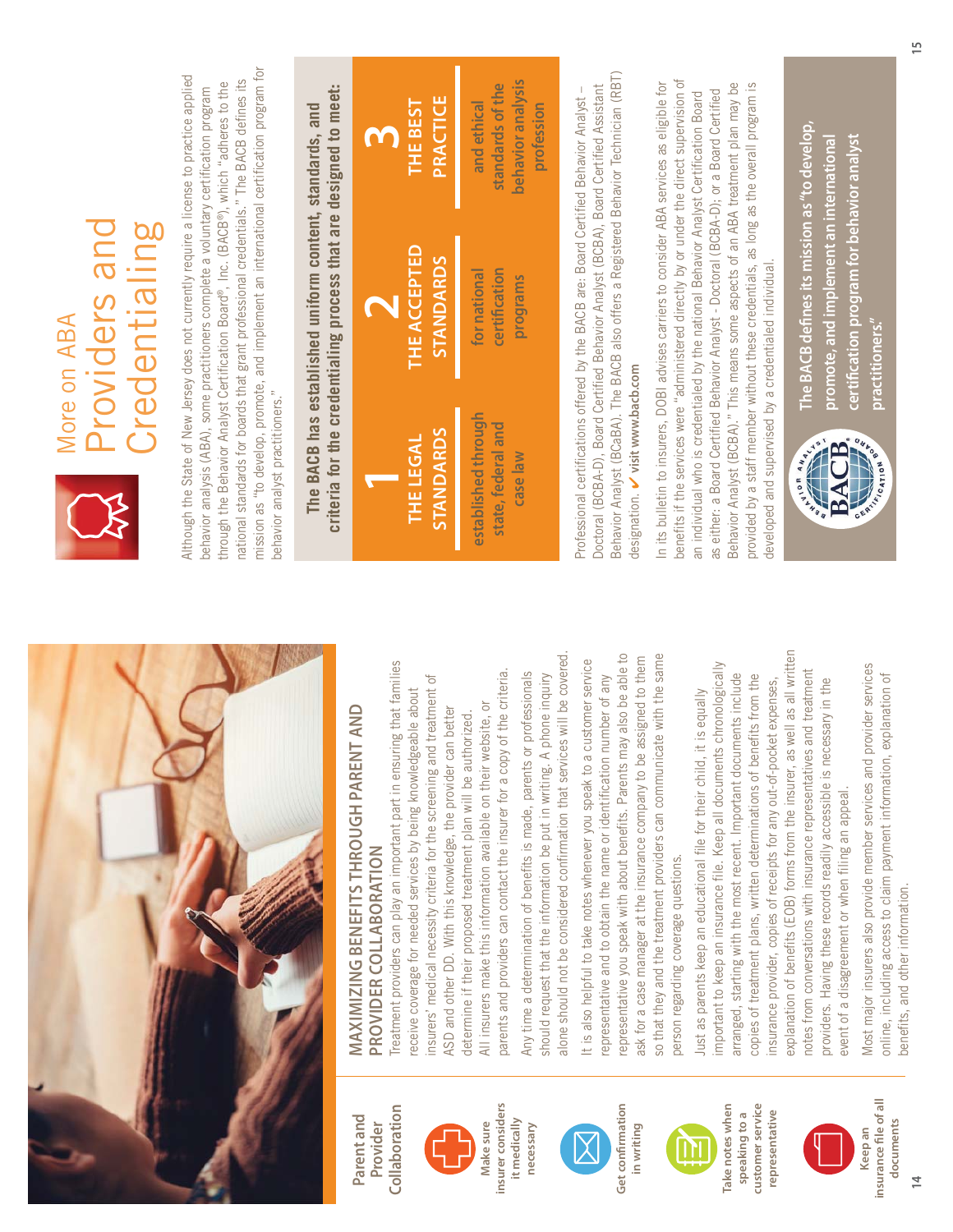

Collaboration **Collaboration Parent and**  Parent and **Provider** 





Get confirmation **Get confirmation in writing** 



**Take notes when customer service**  Take notes when customer service representative speaking to a **speaking to a representative**



**MAXIMIZING BENEFITS THROUGH PARENT AND**  MAXIMIZING BENEFITS THROUGH PARENT AND **PROVIDER COLLABORATION**  PROVIDER COLLABORATION

Treatment providers can play an important part in ensuring that families Treatment providers can play an important part in ensuring that families parents and providers can contact the insurer for a copy of the criteria. parents and providers can contact the insurer for a copy of the criteria. insurers' medical necessity criteria for the screening and treatment of insurers' medical necessity criteria for the screening and treatment of receive coverage for needed services by being knowledgeable about receive coverage for needed services by being knowledgeable about All insurers make this information available on their website, or All insurers make this information available on their website, or ASD and other DD. With this knowledge, the provider can better ASD and other DD. With this knowledge, the provider can better determine if their proposed treatment plan will be authorized. determine if their proposed treatment plan will be authorized.

alone should not be considered confirmation that services will be covered. alone should not be considered confirmation that services will be covered Any time a determination of benefits is made, parents or professionals Any time a determination of benefits is made, parents or professionals should request that the information be put in writing. A phone inquiry should request that the information be put in writing. A phone inquiry

representative you speak with about benefits. Parents may also be able to so that they and the treatment providers can communicate with the same representative you speak with about benefits. Parents may also be able to ask for a case manager at the insurance company to be assigned to them so that they and the treatment providers can communicate with the same It is also helpful to take notes whenever you speak to a customer service ask for a case manager at the insurance company to be assigned to them It is also helpful to take notes whenever you speak to a customer service representative and to obtain the name or identification number of any representative and to obtain the name or identification number of any person regarding coverage questions. person regarding coverage questions.

explanation of benefits (EOB) forms from the insurer, as well as all written explanation of benefits (EOB) forms from the insurer, as well as all written important to keep an insurance file. Keep all documents chronologically important to keep an insurance file. Keep all documents chronologically notes from conversations with insurance representatives and treatment notes from conversations with insurance representatives and treatment arranged, starting with the most recent. Important documents include arranged, starting with the most recent. Important documents include copies of treatment plans, written determinations of benefits from the copies of treatment plans, written determinations of benefits from the insurance provider, copies of receipts for any out-of-pocket expenses, providers. Having these records readily accessible is necessary in the providers. Having these records readily accessible is necessary in the insurance provider, copies of receipts for any out-of-pocket expenses, Just as parents keep an educational file for their child, it is equally Just as parents keep an educational file for their child, it is equally event of a disagreement or when filing an appeal. event of a disagreement or when filing an appeal.

Most major insurers also provide member services and provider services Most major insurers also provide member services and provider services online, including access to claim payment information, explanation of online, including access to claim payment information, explanation of benefits, and other information. benefits, and other information.



### Providers and providers and Credentialing Credentialing More on ABA **Nore on ABA**

mission as "to develop, promote, and implement an international certification program for mission as "to develop, promote, and implement an international certification program for Although the State of New Jersey does not currently require a license to practice applied Although the State of New Jersey does not currently require a license to practice applied national standards for boards that grant professional credentials." The BACB defines its national standards for boards that grant professional credentials." The BACB defines its through the Behavior Analyst Certification Board®, Inc. (BACB®), which "adheres to the through the Behavior Analyst Certification Board®, Inc. (BACB®), which "adheres to the behavior analysis (ABA), some practitioners complete a voluntary certification program behavior analysis (ABA), some practitioners complete a voluntary certification program behavior analyst practitioners." behavior analyst practitioners."

criteria for the credentialing process that are designed to meet: **criteria for the credentialing process that are designed to meet: The BACB has established uniform content, standards, and**  The BACB has established uniform content, standards, and

| PRACTICE<br><b>THE BEST</b>             | behavior analysis<br>standards of the<br>and ethical<br>profession |
|-----------------------------------------|--------------------------------------------------------------------|
| <b>THE ACCEPTED</b><br><b>STANDARDS</b> | certification<br>for national<br>programs                          |
| STANDARDS<br>THE LEGAL                  | established through<br>state, federal and<br>case law              |

Behavior Analyst (BCaBA). The BACB also offers a Registered Behavior Technician (RBT) Behavior Analyst (BCaBA). The BACB also offers a Registered Behavior Technician (RBT) Doctoral (BCBA-D), Board Certified Behavior Analyst (BCBA), Board Certified Assistant Professional certifications offered by the BACB are: Board Certified Behavior Analyst – Doctoral (BCBA-D), Board Certified Behavior Analyst (BCBA), Board Certified Assistant Professional certifications offered by the BACB are: Board Certified Behavior Analyst designation. visit www.bacb.com **visit www.bacb.com** designation.

benefits if the services were "administered directly by or under the direct supervision of In its bulletin to insurers, DOBI advises carriers to consider ABA services as eligible for benefits if the services were "administered directly by or under the direct supervision of n its bulletin to insurers, DOBI advises carriers to consider ABA services as eligible for Behavior Analyst (BCBA)." This means some aspects of an ABA treatment plan may be Behavior Analyst (BCBA)." This means some aspects of an ABA treatment plan may be provided by a staff member without these credentials, as long as the overall program is provided by a staff member without these credentials, as long as the overall program is as either: a Board Certified Behavior Analyst - Doctoral (BCBA-D); or a Board Certified as either: a Board Certified Behavior Analyst - Doctoral (BCBA-D); or a Board Certified an individual who is credentialed by the national Behavior Analyst Certification Board an individual who is credentialed by the national Behavior Analyst Certification Board developed and supervised by a credentialed individual. developed and supervised by a credentialed individual.



**The BACB defines its mission as "to develop,**  The BACB defines its mission as "to develop, **certification program for behavior analyst promote, and implement an international**  certification program for behavior analyst promote, and implement an international practitioners." **practitioners."**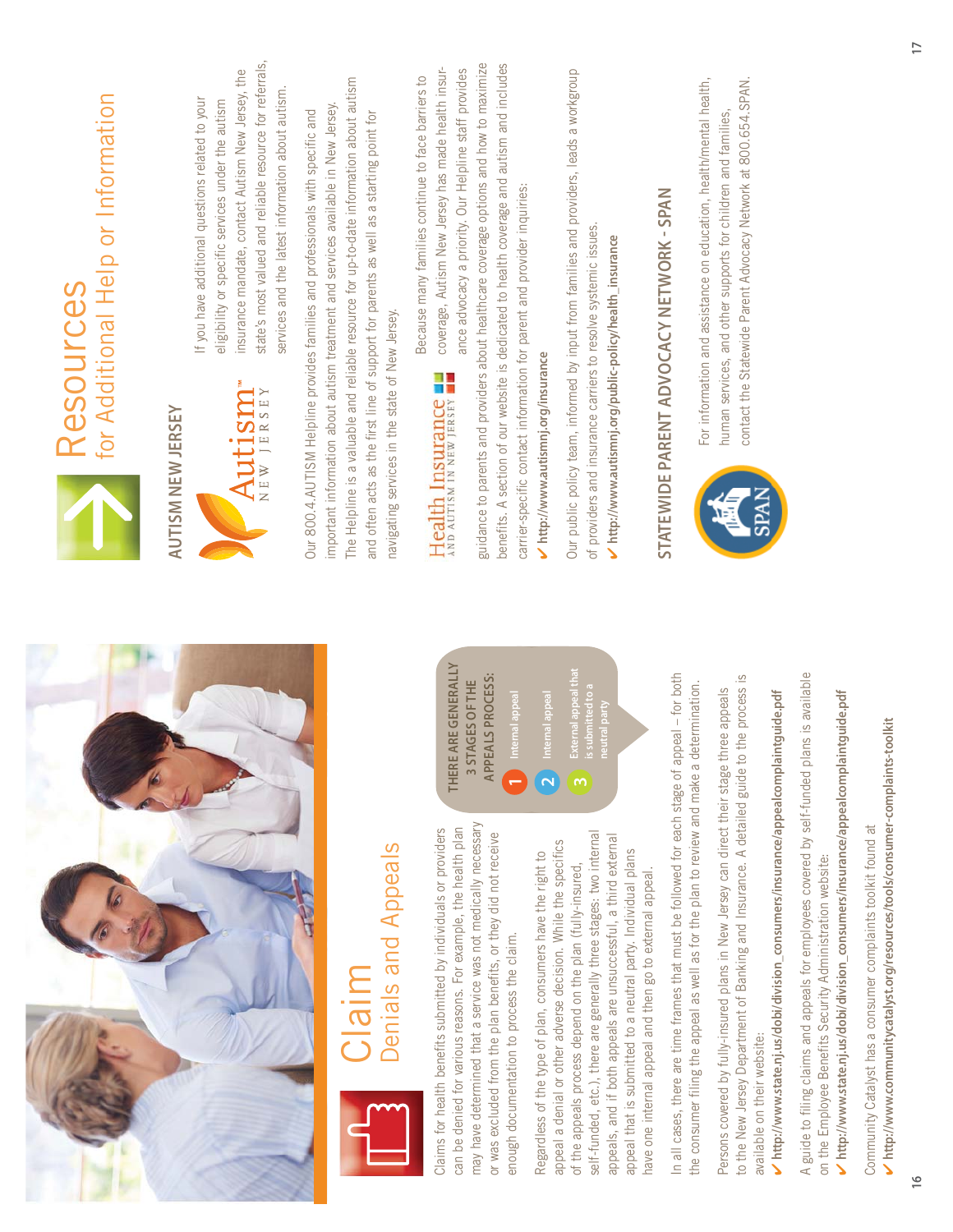| for Additional Help or Information<br>Resources | state's most valued and reliable resource for referrals,<br>insurance mandate, contact Autism New Jersey, the<br>services and the latest information about autism.<br>If you have additional questions related to your<br>eligibility or specific services under the autism<br>Autism"<br><b>AUTISM NEW JERSEY</b> | The Helpline is a valuable and reliable resource for up-to-date information about autism<br>important information about autism treatment and services available in New Jersey.<br>Our 800.4.AUTISM Helpline provides families and professionals with specific and<br>and often acts as the first line of support for parents as well as a starting point for<br>navigating services in the state of New Jersey. | guidance to parents and providers about healthcare coverage options and how to maximize<br>benefits. A section of our website is dedicated to health coverage and autism and includes<br>coverage, Autism New Jersey has made health insur-<br>ance advocacy a priority. Our Helpline staff provides<br>Because many families continue to face barriers to<br>carrier-specific contact information for parent and provider inquiries:<br>Inttp://www.autismnj.org/insurance<br>Health Insurance | Our public policy team, informed by input from families and providers, leads a workgroup<br>of providers and insurance carriers to resolve systemic issues.<br>http://www.autismnj.org/public-policy/health_insurance                                                                                                                                                                                                                                        | STATEWIDE PARENT ADVOCACY NETWORK - SPAN                                                      | For information and assistance on education, health/mental health,<br>contact the Statewide Parent Advocacy Network at 800.654.SPAN.<br>human services, and other supports for children and families,                                                                                     |
|-------------------------------------------------|--------------------------------------------------------------------------------------------------------------------------------------------------------------------------------------------------------------------------------------------------------------------------------------------------------------------|-----------------------------------------------------------------------------------------------------------------------------------------------------------------------------------------------------------------------------------------------------------------------------------------------------------------------------------------------------------------------------------------------------------------|-------------------------------------------------------------------------------------------------------------------------------------------------------------------------------------------------------------------------------------------------------------------------------------------------------------------------------------------------------------------------------------------------------------------------------------------------------------------------------------------------|--------------------------------------------------------------------------------------------------------------------------------------------------------------------------------------------------------------------------------------------------------------------------------------------------------------------------------------------------------------------------------------------------------------------------------------------------------------|-----------------------------------------------------------------------------------------------|-------------------------------------------------------------------------------------------------------------------------------------------------------------------------------------------------------------------------------------------------------------------------------------------|
|                                                 |                                                                                                                                                                                                                                                                                                                    | Denials and Appeals<br>migl;                                                                                                                                                                                                                                                                                                                                                                                    | THERE ARE GENERALLY<br>APPEALS PROCESS:<br>3 STAGES OF THE<br>nternal appeal<br>nternal appeal<br>may have determined that a service was not medically necessary<br>can be denied for various reasons. For example, the health plan<br>Claims for health benefits submitted by individuals or providers<br>or was excluded from the plan benefits, or they did not receive<br>Regardless of the type of plan, consumers have the right to<br>enough documentation to process the claim.         | External appeal that<br>s submitted to a<br>eutral party<br>self-funded, etc.), there are generally three stages: two internal<br>appeals, and if both appeals are unsuccessful, a third external<br>appeal a denial or other adverse decision. While the specifics<br>appeal that is submitted to a neutral party. Individual plans<br>of the appeals process depend on the plan (fully-insured<br>have one internal appeal and then go to external appeal. | In all cases, there are time frames that must be followed for each stage of appeal - for both | to the New Jersey Department of Banking and Insurance. A detailed guide to the process is<br>letermination.<br>Persons covered by fully-insured plans in New Jersey can direct their stage three appeals<br>the consumer filing the appeal as well as for the plan to review and make a d |

V http://www.communitycatalyst.org/resources/tools/consumer-complaints-toolkit **http://www.communitycatalyst.org/resources/tools/consumer-complaints-toolkit** Community Catalyst has a consumer complaints toolkit found at Community Catalyst has a consumer complaints toolkit found at

available on their website:

available on their website:

 $\checkmark$  http://www.state.nj.us/dobi/division\_consumers/insurance/appealcomplaintguide.pdf **http://www.state.nj.us/dobi/division\_consumers/insurance/appealcomplaintguide.pdf** A guide to filing claims and appeals for employees covered by self-funded plans is available

A guide to filing claims and appeals for employees covered by self-funded plans is available

**SPAN** 

on the Employee Benefits Security Administration website:

on the Employee Benefits Security Administration website:

 $\checkmark$  http://www.state.nj.us/dobi/division\_consumers/insurance/appealcomplaintguide.pdf **http://www.state.nj.us/dobi/division\_consumers/insurance/appealcomplaintguide.pdf**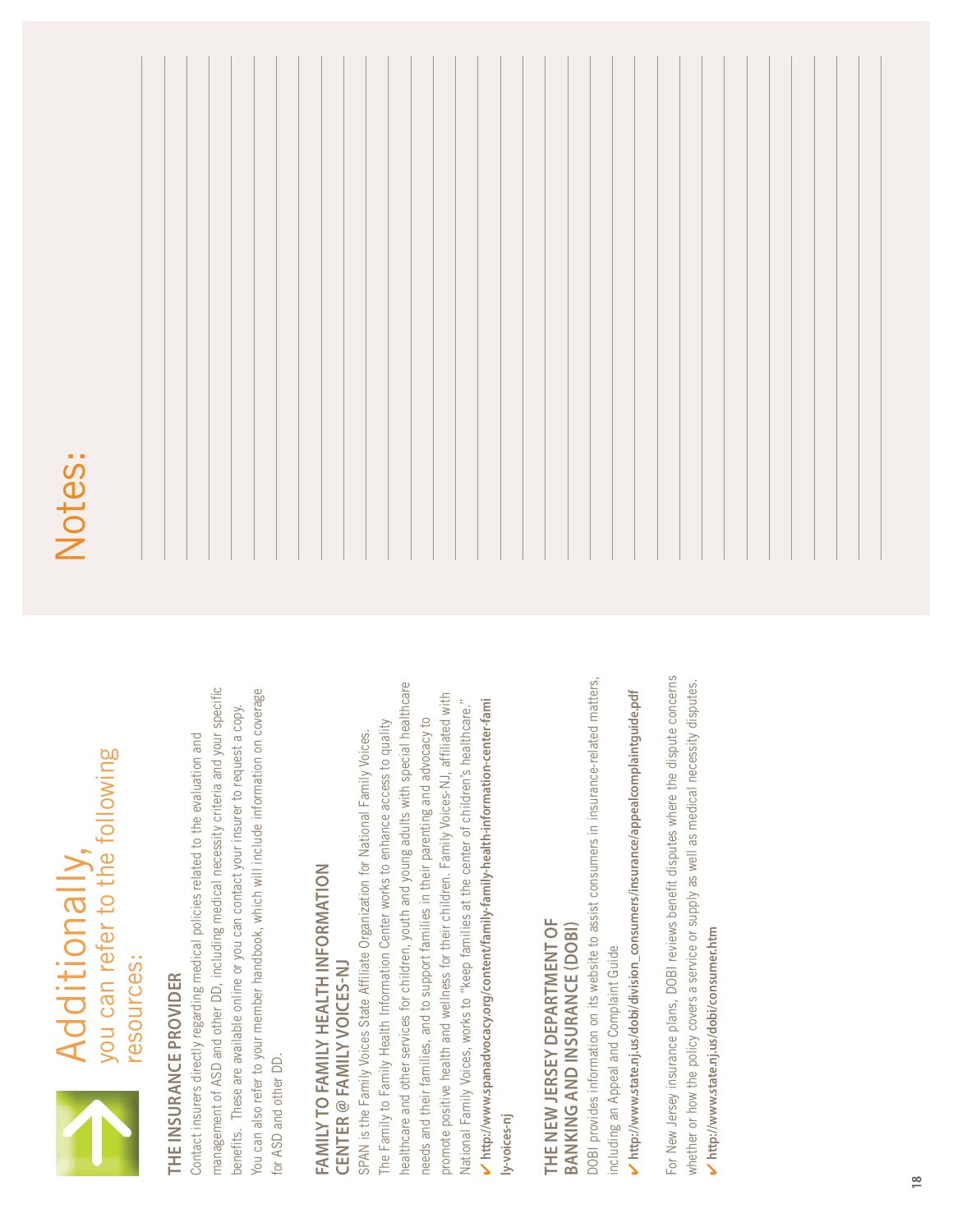

# Additionally,<br>you can refer to the following you can refer to the following Additionally, resources:

# **THE INSURANCE PROVIDER**  THE INSURANCE PROVIDER

management of ASD and other DD, including medical necessity criteria and your specific management of ASD and other DD, including medical necessity criteria and your specific You can also refer to your member handbook, which will include information on coverage You can also refer to your member handbook, which will include information on coverage benefits. These are available online or you can contact your insurer to request a copy. benefits. These are available online or you can contact your insurer to request a copy. Contact insurers directly regarding medical policies related to the evaluation and Contact insurers directly regarding medical policies related to the evaluation and for ASD and other DD. for ASD and other DD.

## **FAMILY TO FAMILY HEALTH INFORMATION**  FAMILY TO FAMILY HEALTH INFORMATION **CENTER FAMILY VOICESNJ CENTER @ FAMILY VOICES-NJ**

healthcare and other services for children, youth and young adults with special healthcare healthcare and other services for children, youth and young adults with special healthcare promote positive health and wellness for their children. Family Voices-NJ, affiliated with promote positive health and wellness for their children. Family Voices-NJ, affiliated with National Family Voices, works to "keep families at the center of children's healthcare." National Family Voices, works to "keep families at the center of children's healthcare."  $\checkmark$  http://www.spanadvocacy.org/content/family-family-health-information-center-fami **http://www.spanadvocacy.org/content/family-family-health-information-center-fami**  needs and their families, and to support families in their parenting and advocacy to needs and their families, and to support families in their parenting and advocacy to The Family to Family Health Information Center works to enhance access to quality The Family to Family Health Information Center works to enhance access to quality SPAN is the Family Voices State Affiliate Organization for National Family Voices. SPAN is the Family Voices State Affiliate Organization for National Family Voices. **ly-voices-nj**

### THE NEW JERSEY DEPARTMENT OF **THE NEW JERSEY DEPARTMENT OF**  BANKING AND INSURANCE (DOBI) **BANKING AND INSURANCE DOBI**

DOBI provides information on its website to assist consumers in insurance-related matters, DOBI provides information on its website to assist consumers in insurance-related matters, including an Appeal and Complaint Guide including an Appeal and Complaint Guide

 $\checkmark$  http://www.state.nj.us/dobi/division\_consumers/insurance/appeal.complaintguide.pdf **http://www.state.nj.us/dobi/division\_consumers/insurance/appealcomplaintguide.pdf** For New Jersey insurance plans, DOBI reviews benefit disputes where the dispute concerns For New Jersey insurance plans, DOBI reviews benefit disputes where the dispute concerns whether or how the policy covers a service or supply as well as medical necessity disputes. whether or how the policy covers a service or supply as well as medical necessity disputes.  $\checkmark$  http://www.state.nj.us/dobi/consumer.htm **http://www.state.nj.us/dobi/consumer.htm**

# Notes: